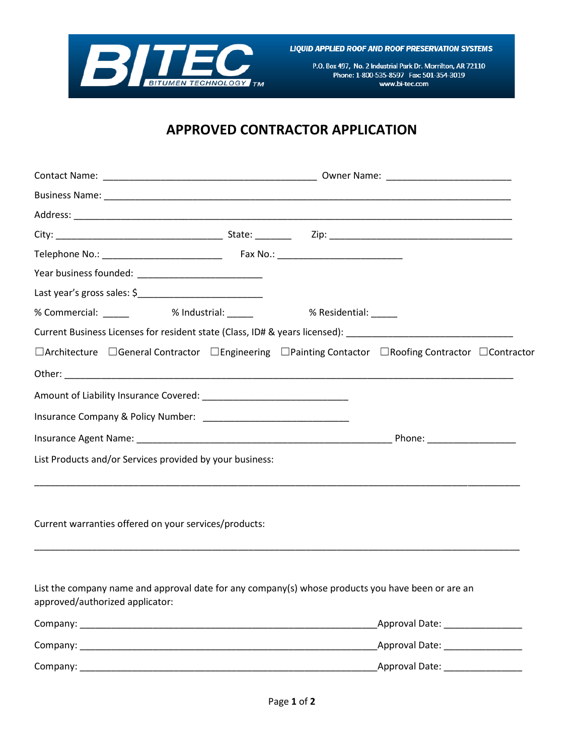

LIQUID APPLIED ROOF AND ROOF PRESERVATION SYSTEMS

P.O. Box 497, No. 2 Industrial Park Dr. Morrilton, AR 72110 Phone: 1-800-535-8597 Fax: 501-354-3019 www.bi-tec.com

## **APPROVED CONTRACTOR APPLICATION**

| % Commercial: _______      % Industrial: ______       % Residential: _____                                                             |  |  |                                  |  |
|----------------------------------------------------------------------------------------------------------------------------------------|--|--|----------------------------------|--|
| Current Business Licenses for resident state (Class, ID# & years licensed): __________________________________                         |  |  |                                  |  |
| $\Box$ Architecture $\Box$ General Contractor $\Box$ Engineering $\Box$ Painting Contactor $\Box$ Roofing Contractor $\Box$ Contractor |  |  |                                  |  |
|                                                                                                                                        |  |  |                                  |  |
|                                                                                                                                        |  |  |                                  |  |
|                                                                                                                                        |  |  |                                  |  |
|                                                                                                                                        |  |  |                                  |  |
| List Products and/or Services provided by your business:                                                                               |  |  |                                  |  |
| Current warranties offered on your services/products:                                                                                  |  |  |                                  |  |
| List the company name and approval date for any company(s) whose products you have been or are an                                      |  |  |                                  |  |
| approved/authorized applicator:                                                                                                        |  |  |                                  |  |
|                                                                                                                                        |  |  | Approval Date: _________________ |  |
|                                                                                                                                        |  |  | Approval Date: ________________  |  |
|                                                                                                                                        |  |  | Approval Date: _________________ |  |